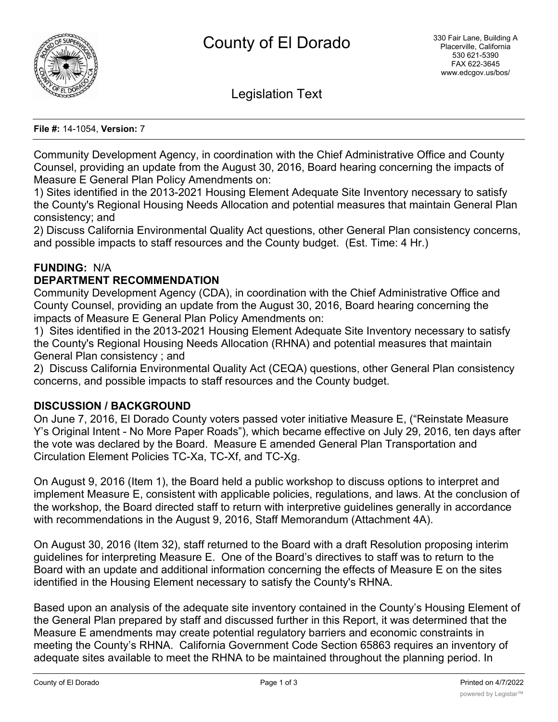

Legislation Text

#### **File #:** 14-1054, **Version:** 7

Community Development Agency, in coordination with the Chief Administrative Office and County Counsel, providing an update from the August 30, 2016, Board hearing concerning the impacts of Measure E General Plan Policy Amendments on:

1) Sites identified in the 2013-2021 Housing Element Adequate Site Inventory necessary to satisfy the County's Regional Housing Needs Allocation and potential measures that maintain General Plan consistency; and

2) Discuss California Environmental Quality Act questions, other General Plan consistency concerns, and possible impacts to staff resources and the County budget. (Est. Time: 4 Hr.)

# **FUNDING:** N/A

#### **DEPARTMENT RECOMMENDATION**

Community Development Agency (CDA), in coordination with the Chief Administrative Office and County Counsel, providing an update from the August 30, 2016, Board hearing concerning the impacts of Measure E General Plan Policy Amendments on:

1) Sites identified in the 2013-2021 Housing Element Adequate Site Inventory necessary to satisfy the County's Regional Housing Needs Allocation (RHNA) and potential measures that maintain General Plan consistency ; and

2) Discuss California Environmental Quality Act (CEQA) questions, other General Plan consistency concerns, and possible impacts to staff resources and the County budget.

# **DISCUSSION / BACKGROUND**

On June 7, 2016, El Dorado County voters passed voter initiative Measure E, ("Reinstate Measure Y's Original Intent - No More Paper Roads"), which became effective on July 29, 2016, ten days after the vote was declared by the Board. Measure E amended General Plan Transportation and Circulation Element Policies TC-Xa, TC-Xf, and TC-Xg.

On August 9, 2016 (Item 1), the Board held a public workshop to discuss options to interpret and implement Measure E, consistent with applicable policies, regulations, and laws. At the conclusion of the workshop, the Board directed staff to return with interpretive guidelines generally in accordance with recommendations in the August 9, 2016, Staff Memorandum (Attachment 4A).

On August 30, 2016 (Item 32), staff returned to the Board with a draft Resolution proposing interim guidelines for interpreting Measure E. One of the Board's directives to staff was to return to the Board with an update and additional information concerning the effects of Measure E on the sites identified in the Housing Element necessary to satisfy the County's RHNA.

Based upon an analysis of the adequate site inventory contained in the County's Housing Element of the General Plan prepared by staff and discussed further in this Report, it was determined that the Measure E amendments may create potential regulatory barriers and economic constraints in meeting the County's RHNA. California Government Code Section 65863 requires an inventory of adequate sites available to meet the RHNA to be maintained throughout the planning period. In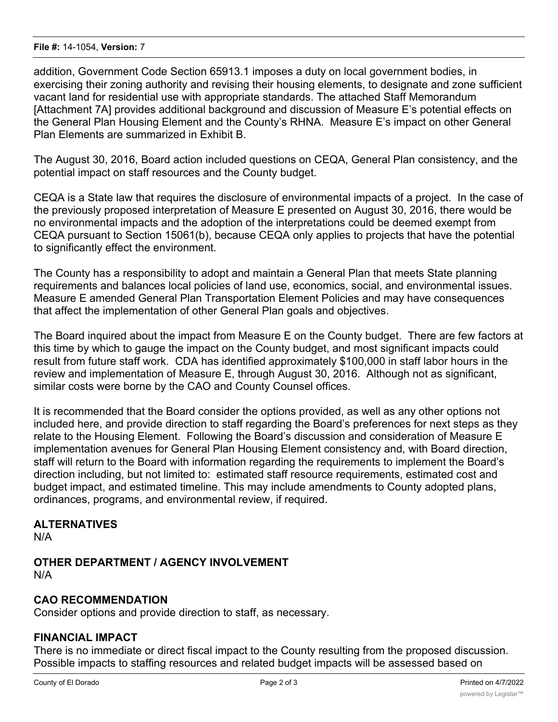#### **File #:** 14-1054, **Version:** 7

addition, Government Code Section 65913.1 imposes a duty on local government bodies, in exercising their zoning authority and revising their housing elements, to designate and zone sufficient vacant land for residential use with appropriate standards. The attached Staff Memorandum [Attachment 7A] provides additional background and discussion of Measure E's potential effects on the General Plan Housing Element and the County's RHNA. Measure E's impact on other General Plan Elements are summarized in Exhibit B.

The August 30, 2016, Board action included questions on CEQA, General Plan consistency, and the potential impact on staff resources and the County budget.

CEQA is a State law that requires the disclosure of environmental impacts of a project. In the case of the previously proposed interpretation of Measure E presented on August 30, 2016, there would be no environmental impacts and the adoption of the interpretations could be deemed exempt from CEQA pursuant to Section 15061(b), because CEQA only applies to projects that have the potential to significantly effect the environment.

The County has a responsibility to adopt and maintain a General Plan that meets State planning requirements and balances local policies of land use, economics, social, and environmental issues. Measure E amended General Plan Transportation Element Policies and may have consequences that affect the implementation of other General Plan goals and objectives.

The Board inquired about the impact from Measure E on the County budget. There are few factors at this time by which to gauge the impact on the County budget, and most significant impacts could result from future staff work. CDA has identified approximately \$100,000 in staff labor hours in the review and implementation of Measure E, through August 30, 2016. Although not as significant, similar costs were borne by the CAO and County Counsel offices.

It is recommended that the Board consider the options provided, as well as any other options not included here, and provide direction to staff regarding the Board's preferences for next steps as they relate to the Housing Element. Following the Board's discussion and consideration of Measure E implementation avenues for General Plan Housing Element consistency and, with Board direction, staff will return to the Board with information regarding the requirements to implement the Board's direction including, but not limited to: estimated staff resource requirements, estimated cost and budget impact, and estimated timeline. This may include amendments to County adopted plans, ordinances, programs, and environmental review, if required.

# **ALTERNATIVES**

N/A

**OTHER DEPARTMENT / AGENCY INVOLVEMENT** N/A

# **CAO RECOMMENDATION**

Consider options and provide direction to staff, as necessary.

# **FINANCIAL IMPACT**

There is no immediate or direct fiscal impact to the County resulting from the proposed discussion. Possible impacts to staffing resources and related budget impacts will be assessed based on